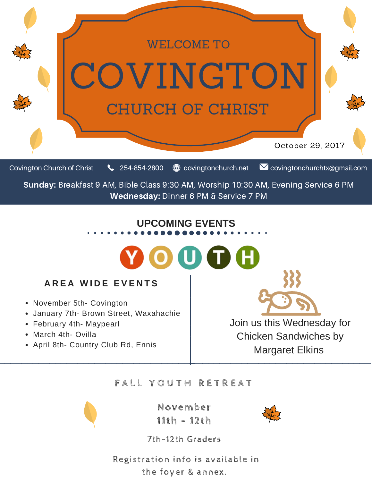

### **F A L L Y O U T H R E T R E A T**



**November 11th - 12th**



7th-12th Graders

Registration info is available in the foyer & annex.